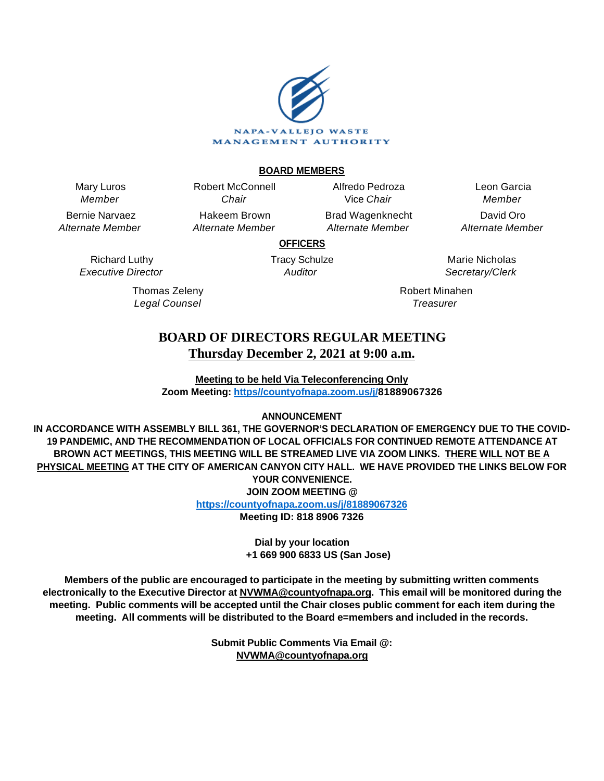

### **BOARD MEMBERS**

Mary Luros Member

Bernie Narvaez Alternate Member

> Richard Luthy Executive Director

> > Thomas Zeleny Legal Counsel

Chair Hakeem Brown Alternate Member

Robert McConnell

Alfredo Pedroza Vice Chair Brad Wagenknecht

Alternate Member

Leon Garcia Member David Oro Alternate Member

**OFFICERS**

Tracy Schulze **Auditor** 

Marie Nicholas Secretary/Clerk

Robert Minahen **Treasurer** 

# **BOARD OF DIRECTORS REGULAR MEETING Thursday December 2, 2021 at 9:00 a.m.**

**Meeting to be held Via Teleconferencing Only Zoom Meeting: [https//countyofnapa.zoom.us/j/](http://intranetprod01/AgendaNet/Reports/https//countyofnapa.zoom.us/j/99111938225)81889067326**

# **ANNOUNCEMENT**

**IN ACCORDANCE WITH ASSEMBLY BILL 361, THE GOVERNOR'S DECLARATION OF EMERGENCY DUE TO THE COVID-19 PANDEMIC, AND THE RECOMMENDATION OF LOCAL OFFICIALS FOR CONTINUED REMOTE ATTENDANCE AT BROWN ACT MEETINGS, THIS MEETING WILL BE STREAMED LIVE VIA ZOOM LINKS. THERE WILL NOT BE A PHYSICAL MEETING AT THE CITY OF AMERICAN CANYON CITY HALL. WE HAVE PROVIDED THE LINKS BELOW FOR YOUR CONVENIENCE. JOIN ZOOM MEETING @**

**<https://countyofnapa.zoom.us/j/81889067326>**

**Meeting ID: 818 8906 7326**

**Dial by your location +1 669 900 6833 US (San Jose)**

**Members of the public are encouraged to participate in the meeting by submitting written comments electronically to the Executive Director at NVWMA@countyofnapa.org. This email will be monitored during the meeting. Public comments will be accepted until the Chair closes public comment for each item during the meeting. All comments will be distributed to the Board e=members and included in the records.**

> **Submit Public Comments Via Email @: NVWMA@countyofnapa.org**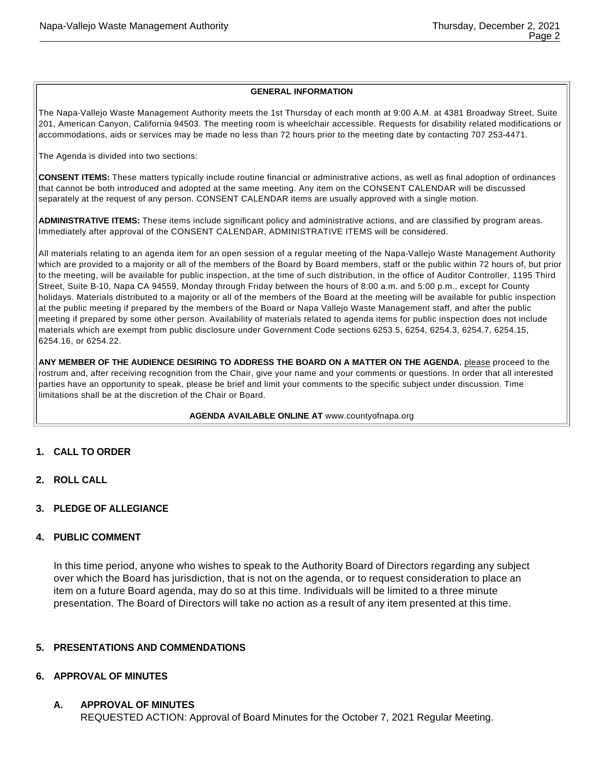#### **GENERAL INFORMATION**

The Napa-Vallejo Waste Management Authority meets the 1st Thursday of each month at 9:00 A.M. at 4381 Broadway Street, Suite 201, American Canyon, California 94503. The meeting room is wheelchair accessible. Requests for disability related modifications or accommodations, aids or services may be made no less than 72 hours prior to the meeting date by contacting 707 253-4471.

The Agenda is divided into two sections:

**CONSENT ITEMS:** These matters typically include routine financial or administrative actions, as well as final adoption of ordinances that cannot be both introduced and adopted at the same meeting. Any item on the CONSENT CALENDAR will be discussed separately at the request of any person. CONSENT CALENDAR items are usually approved with a single motion.

**ADMINISTRATIVE ITEMS:** These items include significant policy and administrative actions, and are classified by program areas. Immediately after approval of the CONSENT CALENDAR, ADMINISTRATIVE ITEMS will be considered.

All materials relating to an agenda item for an open session of a regular meeting of the Napa-Vallejo Waste Management Authority which are provided to a majority or all of the members of the Board by Board members, staff or the public within 72 hours of, but prior to the meeting, will be available for public inspection, at the time of such distribution, in the office of Auditor Controller, 1195 Third Street, Suite B-10, Napa CA 94559, Monday through Friday between the hours of 8:00 a.m. and 5:00 p.m., except for County holidays. Materials distributed to a majority or all of the members of the Board at the meeting will be available for public inspection at the public meeting if prepared by the members of the Board or Napa Vallejo Waste Management staff, and after the public meeting if prepared by some other person. Availability of materials related to agenda items for public inspection does not include materials which are exempt from public disclosure under Government Code sections 6253.5, 6254, 6254.3, 6254.7, 6254.15, 6254.16, or 6254.22.

**ANY MEMBER OF THE AUDIENCE DESIRING TO ADDRESS THE BOARD ON A MATTER ON THE AGENDA**, please proceed to the rostrum and, after receiving recognition from the Chair, give your name and your comments or questions. In order that all interested parties have an opportunity to speak, please be brief and limit your comments to the specific subject under discussion. Time limitations shall be at the discretion of the Chair or Board.

**AGENDA AVAILABLE ONLINE AT** www.countyofnapa.org

#### **1. CALL TO ORDER**

- **2. ROLL CALL**
- **3. PLEDGE OF ALLEGIANCE**

### **4. PUBLIC COMMENT**

In this time period, anyone who wishes to speak to the Authority Board of Directors regarding any subject over which the Board has jurisdiction, that is not on the agenda, or to request consideration to place an item on a future Board agenda, may do so at this time. Individuals will be limited to a three minute presentation. The Board of Directors will take no action as a result of any item presented at this time.

#### **5. PRESENTATIONS AND COMMENDATIONS**

#### **6. APPROVAL OF MINUTES**

**A. APPROVAL OF MINUTES**

REQUESTED ACTION: Approval of Board Minutes for the October 7, 2021 Regular Meeting.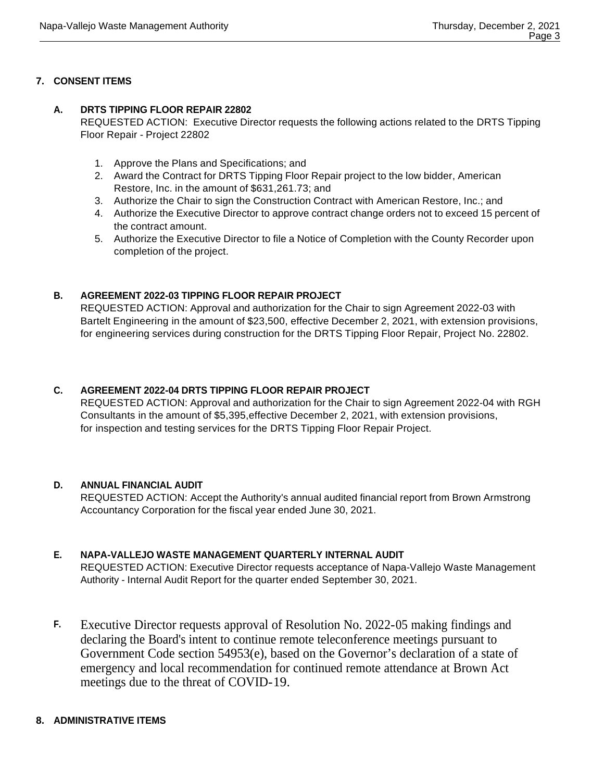# **7. CONSENT ITEMS**

### **A. DRTS TIPPING FLOOR REPAIR 22802**

REQUESTED ACTION: Executive Director requests the following actions related to the DRTS Tipping Floor Repair - Project 22802

- 1. Approve the Plans and Specifications; and
- 2. Award the Contract for DRTS Tipping Floor Repair project to the low bidder, American Restore, Inc. in the amount of \$631,261.73; and
- 3. Authorize the Chair to sign the Construction Contract with American Restore, Inc.; and
- 4. Authorize the Executive Director to approve contract change orders not to exceed 15 percent of the contract amount.
- 5. Authorize the Executive Director to file a Notice of Completion with the County Recorder upon completion of the project.

# **B. AGREEMENT 2022-03 TIPPING FLOOR REPAIR PROJECT**

REQUESTED ACTION: Approval and authorization for the Chair to sign Agreement 2022-03 with Bartelt Engineering in the amount of \$23,500, effective December 2, 2021, with extension provisions, for engineering services during construction for the DRTS Tipping Floor Repair, Project No. 22802.

# **C. AGREEMENT 2022-04 DRTS TIPPING FLOOR REPAIR PROJECT**

REQUESTED ACTION: Approval and authorization for the Chair to sign Agreement 2022-04 with RGH Consultants in the amount of \$5,395,effective December 2, 2021, with extension provisions, for inspection and testing services for the DRTS Tipping Floor Repair Project.

# **D. ANNUAL FINANCIAL AUDIT**

REQUESTED ACTION: Accept the Authority's annual audited financial report from Brown Armstrong Accountancy Corporation for the fiscal year ended June 30, 2021.

# **E. NAPA-VALLEJO WASTE MANAGEMENT QUARTERLY INTERNAL AUDIT**

REQUESTED ACTION: Executive Director requests acceptance of Napa-Vallejo Waste Management Authority - Internal Audit Report for the quarter ended September 30, 2021.

**F.** Executive Director requests approval of Resolution No. 2022-05 making findings and declaring the Board's intent to continue remote teleconference meetings pursuant to Government Code section 54953(e), based on the Governor's declaration of a state of emergency and local recommendation for continued remote attendance at Brown Act meetings due to the threat of COVID-19.

# **8. ADMINISTRATIVE ITEMS**